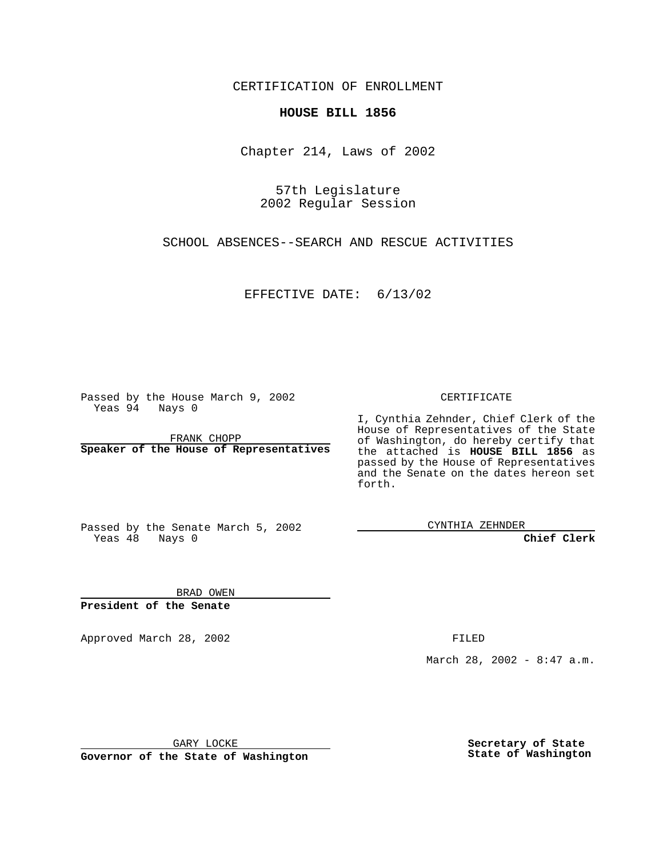CERTIFICATION OF ENROLLMENT

## **HOUSE BILL 1856**

Chapter 214, Laws of 2002

57th Legislature 2002 Regular Session

SCHOOL ABSENCES--SEARCH AND RESCUE ACTIVITIES

EFFECTIVE DATE: 6/13/02

Passed by the House March 9, 2002 Yeas 94 Nays 0

FRANK CHOPP **Speaker of the House of Representatives** CERTIFICATE

I, Cynthia Zehnder, Chief Clerk of the House of Representatives of the State of Washington, do hereby certify that the attached is **HOUSE BILL 1856** as passed by the House of Representatives and the Senate on the dates hereon set forth.

Passed by the Senate March 5, 2002 Yeas 48 Nays 0

CYNTHIA ZEHNDER

**Chief Clerk**

BRAD OWEN **President of the Senate**

Approved March 28, 2002 **FILED** 

March 28, 2002 - 8:47 a.m.

GARY LOCKE

**Governor of the State of Washington**

**Secretary of State State of Washington**